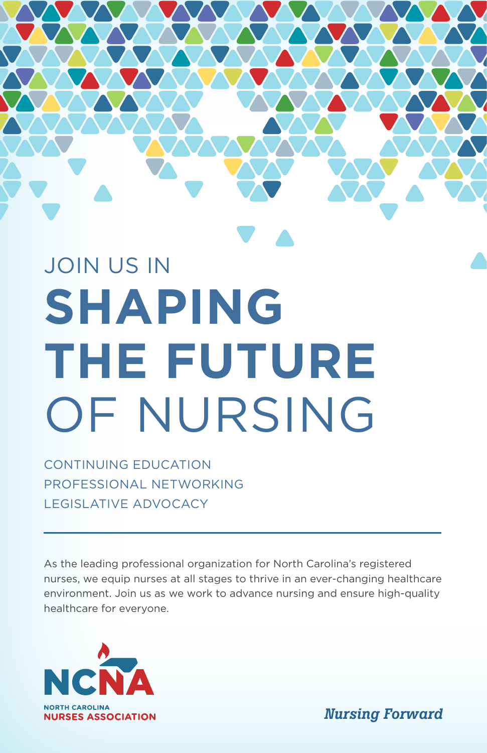# JOIN US IN **SHAPING THE FUTURE** OF NURSING

CONTINUING EDUCATION PROFESSIONAL NETWORKING LEGISLATIVE ADVOCACY

As the leading professional organization for North Carolina's registered nurses, we equip nurses at all stages to thrive in an ever-changing healthcare environment. Join us as we work to advance nursing and ensure high-quality healthcare for everyone.



*Nursing Forward*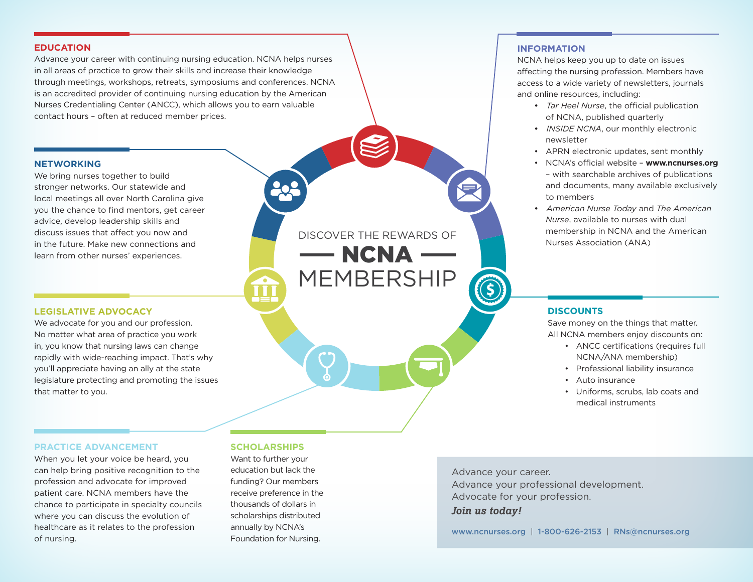#### **EDUCATION**

Advance your career with continuing nursing education. NCNA helps nurses in all areas of practice to grow their skills and increase their knowledge through meetings, workshops, retreats, symposiums and conferences. NCNA is an accredited provider of continuing nursing education by the American Nurses Credentialing Center (ANCC), which allows you to earn valuable contact hours – often at reduced member prices.

#### **NETWORKING**

We bring nurses together to build stronger networks. Our statewide and local meetings all over North Carolina give you the chance to find mentors, get career advice, develop leadership skills and discuss issues that affect you now and in the future. Make new connections and learn from other nurses' experiences.

#### **LEGISLATIVE ADVOCACY**

We advocate for you and our profession. No matter what area of practice you work in, you know that nursing laws can change rapidly with wide-reaching impact. That's why you'll appreciate having an ally at the state legislature protecting and promoting the issues that matter to you.

## DISCOVER THE REWARDS OF  $-$  NCNA  $-$ MEMBERSHIP

#### **INFORMATION**

NCNA helps keep you up to date on issues affecting the nursing profession. Members have access to a wide variety of newsletters, journals and online resources, including:

- • *Tar Heel Nurse*, the official publication of NCNA, published quarterly
- • *INSIDE NCNA*, our monthly electronic newsletter
- APRN electronic updates, sent monthly
- NCNA's official website **www.ncnurses.org** – with searchable archives of publications and documents, many available exclusively to members
- • *American Nurse Today* and *The American Nurse*, available to nurses with dual membership in NCNA and the American Nurses Association (ANA)

#### **DISCOUNTS**

Save money on the things that matter. All NCNA members enjoy discounts on:

- ANCC certifications (requires full NCNA/ANA membership)
- Professional liability insurance
- Auto insurance
- Uniforms, scrubs, lab coats and medical instruments

#### **PRACTICE ADVANCEMENT**

When you let your voice be heard, you can help bring positive recognition to the profession and advocate for improved patient care. NCNA members have the chance to participate in specialty councils where you can discuss the evolution of healthcare as it relates to the profession of nursing.

#### **SCHOLARSHIPS**

Want to further your education but lack the funding? Our members receive preference in the thousands of dollars in scholarships distributed annually by NCNA's Foundation for Nursing.

Advance your career. Advance your professional development. Advocate for your profession. *Join us today!*

www.ncnurses.org | 1-800-626-2153 | RNs@ncnurses.org